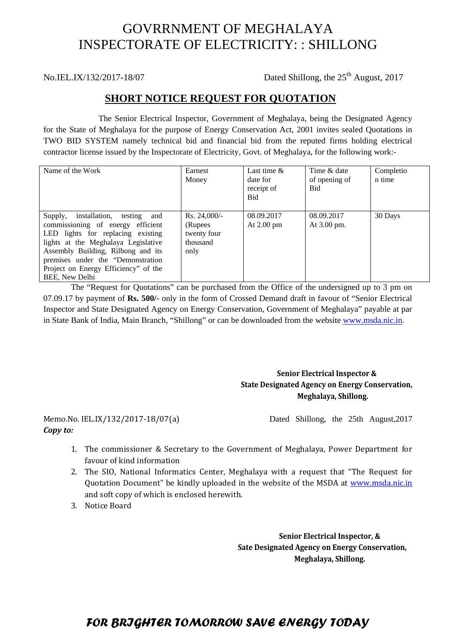# GOVRRNMENT OF MEGHALAYA INSPECTORATE OF ELECTRICITY: : SHILLONG

No.IEL.IX/132/2017-18/07 Dated Shillong, the  $25<sup>th</sup>$  August, 2017

# **SHORT NOTICE REQUEST FOR QUOTATION**

The Senior Electrical Inspector, Government of Meghalaya, being the Designated Agency for the State of Meghalaya for the purpose of Energy Conservation Act, 2001 invites sealed Quotations in TWO BID SYSTEM namely technical bid and financial bid from the reputed firms holding electrical contractor license issued by the Inspectorate of Electricity, Govt. of Meghalaya, for the following work:-

| Name of the Work                                                                                                                                                                                                                                                                         | Earnest<br>Money                                              | Last time $\&$<br>date for<br>receipt of<br><b>Bid</b> | Time & date<br>of opening of<br><b>Bid</b> | Completio<br>n time |
|------------------------------------------------------------------------------------------------------------------------------------------------------------------------------------------------------------------------------------------------------------------------------------------|---------------------------------------------------------------|--------------------------------------------------------|--------------------------------------------|---------------------|
| Supply, installation, testing and<br>commissioning of energy efficient<br>LED lights for replacing existing<br>lights at the Meghalaya Legislative<br>Assembly Building, Rilbong and its<br>premises under the "Demonstration"<br>Project on Energy Efficiency" of the<br>BEE, New Delhi | $Rs. 24,000/-$<br>(Rupees)<br>twenty four<br>thousand<br>only | 08.09.2017<br>At $2.00 \text{ pm}$                     | 08.09.2017<br>At 3.00 pm.                  | 30 Days             |

The "Request for Quotations" can be purchased from the Office of the undersigned up to 3 pm on 07.09.17 by payment of **Rs. 500/-** only in the form of Crossed Demand draft in favour of "Senior Electrical Inspector and State Designated Agency on Energy Conservation, Government of Meghalaya" payable at par in State Bank of India, Main Branch, "Shillong" or can be downloaded from the website www.msda.nic.in.

#### **Senior Electrical Inspector & State Designated Agency on Energy Conservation, Meghalaya, Shillong.**

# *Copy to:*

Memo.No. IEL.IX/132/2017-18/07(a) Dated Shillong, the 25th August,2017

- 1. The commissioner & Secretary to the Government of Meghalaya, Power Department for favour of kind information
- 2. The SIO, National Informatics Center, Meghalaya with a request that "The Request for Quotation Document" be kindly uploaded in the website of the MSDA at www.msda.nic.in and soft copy of which is enclosed herewith.
- 3. Notice Board

 **Senior Electrical Inspector, & Sate Designated Agency on Energy Conservation, Meghalaya, Shillong.**

# *FOR BRIGHTER TOMORROW SAVE ENERGY TODAY*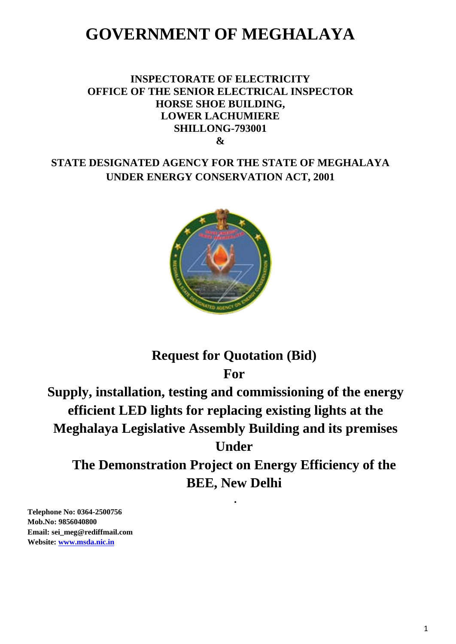# **GOVERNMENT OF MEGHALAYA**

# **INSPECTORATE OF ELECTRICITY OFFICE OF THE SENIOR ELECTRICAL INSPECTOR HORSE SHOE BUILDING, LOWER LACHUMIERE SHILLONG-793001 &**

# **STATE DESIGNATED AGENCY FOR THE STATE OF MEGHALAYA UNDER ENERGY CONSERVATION ACT, 2001**



# **Request for Quotation (Bid)**

**For**

**Supply, installation, testing and commissioning of the energy efficient LED lights for replacing existing lights at the Meghalaya Legislative Assembly Building and its premises Under** 

**The Demonstration Project on Energy Efficiency of the BEE, New Delhi**

**.**

**Telephone No: 0364-2500756 Mob.No: 9856040800 Email: sei\_meg@rediffmail.com Website: www.msda.nic.in**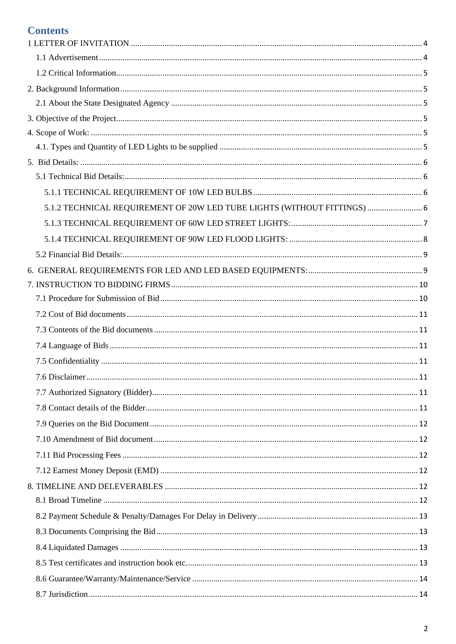# **Contents**

| 5.1.2 TECHNICAL REQUIREMENT OF 20W LED TUBE LIGHTS (WITHOUT FITTINGS)  6 |  |
|--------------------------------------------------------------------------|--|
|                                                                          |  |
|                                                                          |  |
|                                                                          |  |
|                                                                          |  |
|                                                                          |  |
|                                                                          |  |
|                                                                          |  |
|                                                                          |  |
|                                                                          |  |
|                                                                          |  |
|                                                                          |  |
|                                                                          |  |
|                                                                          |  |
|                                                                          |  |
|                                                                          |  |
|                                                                          |  |
|                                                                          |  |
|                                                                          |  |
|                                                                          |  |
|                                                                          |  |
|                                                                          |  |
|                                                                          |  |
|                                                                          |  |
|                                                                          |  |
|                                                                          |  |
|                                                                          |  |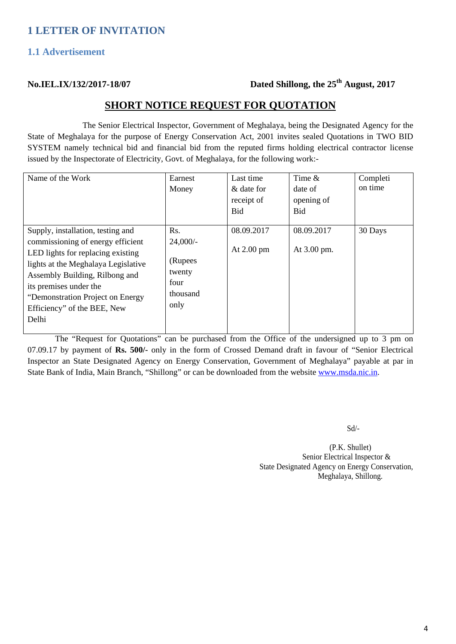#### <span id="page-4-1"></span><span id="page-4-0"></span>**1.1 Advertisement**

# **No.IEL.IX/132/2017-18/07 Dated Shillong, the 25th August, 2017**

### **SHORT NOTICE REQUEST FOR QUOTATION**

The Senior Electrical Inspector, Government of Meghalaya, being the Designated Agency for the State of Meghalaya for the purpose of Energy Conservation Act, 2001 invites sealed Quotations in TWO BID SYSTEM namely technical bid and financial bid from the reputed firms holding electrical contractor license issued by the Inspectorate of Electricity, Govt. of Meghalaya, for the following work:-

| Name of the Work                                                                                                                                                                                                                                                                           | Earnest<br>Money                                                   | Last time<br>& date for<br>receipt of<br>Bid | Time &<br>date of<br>opening of<br><b>Bid</b> | Completi<br>on time |
|--------------------------------------------------------------------------------------------------------------------------------------------------------------------------------------------------------------------------------------------------------------------------------------------|--------------------------------------------------------------------|----------------------------------------------|-----------------------------------------------|---------------------|
| Supply, installation, testing and<br>commissioning of energy efficient<br>LED lights for replacing existing<br>lights at the Meghalaya Legislative<br>Assembly Building, Rilbong and<br>its premises under the<br>"Demonstration Project on Energy<br>Efficiency" of the BEE, New<br>Delhi | Rs.<br>$24,000/-$<br>(Rupees<br>twenty<br>four<br>thousand<br>only | 08.09.2017<br>At $2.00 \text{ pm}$           | 08.09.2017<br>At 3.00 pm.                     | 30 Days             |

The "Request for Quotations" can be purchased from the Office of the undersigned up to 3 pm on 07.09.17 by payment of **Rs. 500/-** only in the form of Crossed Demand draft in favour of "Senior Electrical Inspector an State Designated Agency on Energy Conservation, Government of Meghalaya" payable at par in State Bank of India, Main Branch, "Shillong" or can be downloaded from the website www.msda.nic.in.

Sd/-

 (P.K. Shullet) Senior Electrical Inspector & State Designated Agency on Energy Conservation, Meghalaya, Shillong.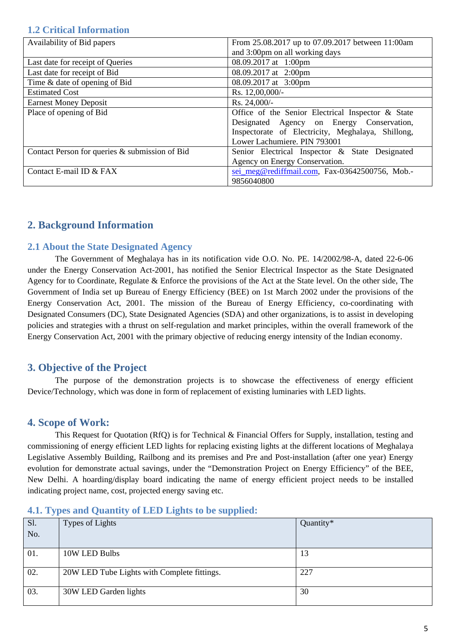#### <span id="page-5-0"></span>**1.2 Critical Information**

| Availability of Bid papers                     | From 25.08.2017 up to 07.09.2017 between 11:00am  |  |  |
|------------------------------------------------|---------------------------------------------------|--|--|
|                                                | and 3:00pm on all working days                    |  |  |
| Last date for receipt of Queries               | 08.09.2017 at 1:00pm                              |  |  |
| Last date for receipt of Bid                   | 08.09.2017 at 2:00pm                              |  |  |
| Time & date of opening of Bid                  | 08.09.2017 at 3:00pm                              |  |  |
| <b>Estimated Cost</b>                          | Rs. 12,00,000/-                                   |  |  |
| <b>Earnest Money Deposit</b>                   | Rs. 24,000/-                                      |  |  |
| Place of opening of Bid                        | Office of the Senior Electrical Inspector & State |  |  |
|                                                | Designated Agency on Energy Conservation,         |  |  |
|                                                | Inspectorate of Electricity, Meghalaya, Shillong, |  |  |
|                                                | Lower Lachumiere. PIN 793001                      |  |  |
| Contact Person for queries & submission of Bid | Senior Electrical Inspector & State Designated    |  |  |
|                                                | Agency on Energy Conservation.                    |  |  |
| Contact E-mail ID & FAX                        | sei meg@rediffmail.com, Fax-03642500756, Mob.-    |  |  |
|                                                | 9856040800                                        |  |  |

### <span id="page-5-1"></span>**2. Background Information**

#### <span id="page-5-2"></span>**2.1 About the State Designated Agency**

The Government of Meghalaya has in its notification vide O.O. No. PE. 14/2002/98-A, dated 22-6-06 under the Energy Conservation Act-2001, has notified the Senior Electrical Inspector as the State Designated Agency for to Coordinate, Regulate & Enforce the provisions of the Act at the State level. On the other side, The Government of India set up Bureau of Energy Efficiency (BEE) on 1st March 2002 under the provisions of the Energy Conservation Act, 2001. The mission of the Bureau of Energy Efficiency, co-coordinating with Designated Consumers (DC), State Designated Agencies (SDA) and other organizations, is to assist in developing policies and strategies with a thrust on self-regulation and market principles, within the overall framework of the Energy Conservation Act, 2001 with the primary objective of reducing energy intensity of the Indian economy.

#### <span id="page-5-3"></span>**3. Objective of the Project**

The purpose of the demonstration projects is to showcase the effectiveness of energy efficient Device/Technology, which was done in form of replacement of existing luminaries with LED lights.

#### <span id="page-5-4"></span>**4. Scope of Work:**

This Request for Quotation (RfQ) is for Technical & Financial Offers for Supply, installation, testing and commissioning of energy efficient LED lights for replacing existing lights at the different locations of Meghalaya Legislative Assembly Building, Railbong and its premises and Pre and Post-installation (after one year) Energy evolution for demonstrate actual savings, under the "Demonstration Project on Energy Efficiency" of the BEE, New Delhi. A hoarding/display board indicating the name of energy efficient project needs to be installed indicating project name, cost, projected energy saving etc.

#### <span id="page-5-5"></span>**4.1. Types and Quantity of LED Lights to be supplied:**

| Sl. | Types of Lights                             | Quantity* |
|-----|---------------------------------------------|-----------|
| No. |                                             |           |
| 01. | 10W LED Bulbs                               | 13        |
| 02. | 20W LED Tube Lights with Complete fittings. | 227       |
| 03. | 30W LED Garden lights                       | 30        |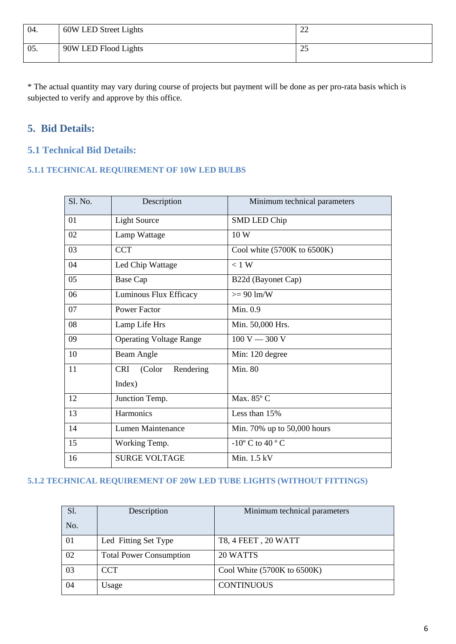| 04. | 60W LED Street Lights | $\sim$<br>∼ |
|-----|-----------------------|-------------|
| 05. | 90W LED Flood Lights  | ل ک         |

\* The actual quantity may vary during course of projects but payment will be done as per pro-rata basis which is subjected to verify and approve by this office.

# <span id="page-6-0"></span>**5. Bid Details:**

# <span id="page-6-1"></span>**5.1 Technical Bid Details:**

#### <span id="page-6-2"></span>**5.1.1 TECHNICAL REQUIREMENT OF 10W LED BULBS**

| Sl. No. | Description                    | Minimum technical parameters                  |
|---------|--------------------------------|-----------------------------------------------|
| 01      | <b>Light Source</b>            | SMD LED Chip                                  |
| 02      | Lamp Wattage                   | 10W                                           |
| 03      | <b>CCT</b>                     | Cool white (5700K to 6500K)                   |
| 04      | Led Chip Wattage               | $< 1$ W                                       |
| 05      | Base Cap                       | B22d (Bayonet Cap)                            |
| 06      | Luminous Flux Efficacy         | $\geq$ 90 lm/W                                |
| 07      | <b>Power Factor</b>            | Min. 0.9                                      |
| 08      | Lamp Life Hrs                  | Min. 50,000 Hrs.                              |
| 09      | <b>Operating Voltage Range</b> | $100 V - 300 V$                               |
| 10      | Beam Angle                     | Min: 120 degree                               |
| 11      | Rendering<br>CRI (Color        | <b>Min. 80</b>                                |
|         | Index)                         |                                               |
| 12      | Junction Temp.                 | Max. 85° C                                    |
| 13      | Harmonics                      | Less than 15%                                 |
| 14      | Lumen Maintenance              | Min. 70% up to 50,000 hours                   |
| 15      | Working Temp.                  | -10 $\rm{^{\circ}}$ C to 40 $\rm{^{\circ}}$ C |
| 16      | <b>SURGE VOLTAGE</b>           | Min. $1.5$ kV                                 |

### <span id="page-6-3"></span>**5.1.2 TECHNICAL REQUIREMENT OF 20W LED TUBE LIGHTS (WITHOUT FITTINGS)**

| S1. | Description                    | Minimum technical parameters      |
|-----|--------------------------------|-----------------------------------|
| No. |                                |                                   |
| 01  | Led Fitting Set Type           | T8, 4 FEET, 20 WATT               |
| 02  | <b>Total Power Consumption</b> | 20 WATTS                          |
| 03  | <b>CCT</b>                     | Cool White $(5700K)$ to $6500K$ ) |
| 04  | Usage                          | <b>CONTINUOUS</b>                 |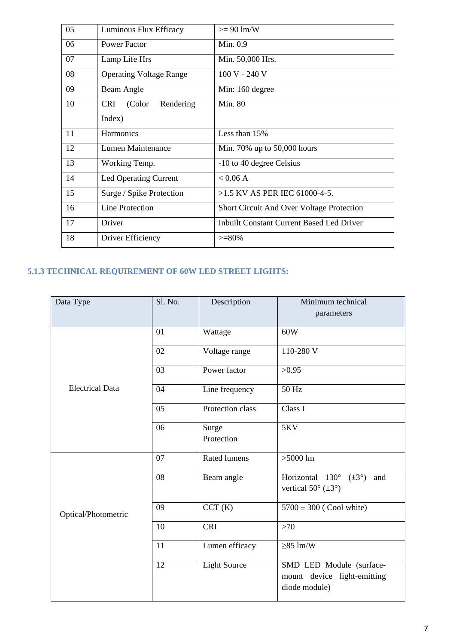| 05 | Luminous Flux Efficacy            | $>= 90$ lm/W                                     |
|----|-----------------------------------|--------------------------------------------------|
| 06 | <b>Power Factor</b>               | Min. 0.9                                         |
| 07 | Lamp Life Hrs                     | Min. 50,000 Hrs.                                 |
| 08 | <b>Operating Voltage Range</b>    | 100 V - 240 V                                    |
| 09 | Beam Angle                        | Min: 160 degree                                  |
| 10 | (Color<br><b>CRI</b><br>Rendering | <b>Min. 80</b>                                   |
|    | Index)                            |                                                  |
| 11 | <b>Harmonics</b>                  | Less than 15%                                    |
| 12 | Lumen Maintenance                 | Min. 70% up to $50,000$ hours                    |
| 13 | Working Temp.                     | -10 to 40 degree Celsius                         |
| 14 | Led Operating Current             | < 0.06 A                                         |
| 15 | Surge / Spike Protection          | $>1.5$ KV AS PER IEC 61000-4-5.                  |
| 16 | <b>Line Protection</b>            | <b>Short Circuit And Over Voltage Protection</b> |
| 17 | Driver                            | <b>Inbuilt Constant Current Based Led Driver</b> |
| 18 | Driver Efficiency                 | $>=80\%$                                         |

# <span id="page-7-0"></span>**5.1.3 TECHNICAL REQUIREMENT OF 60W LED STREET LIGHTS:**

| Data Type              | Sl. No. | Description         | Minimum technical<br>parameters                                                          |
|------------------------|---------|---------------------|------------------------------------------------------------------------------------------|
|                        | 01      | Wattage             | 60W                                                                                      |
|                        | 02      | Voltage range       | 110-280 V                                                                                |
|                        | 03      | Power factor        | >0.95                                                                                    |
| <b>Electrical Data</b> | 04      | Line frequency      | 50 Hz                                                                                    |
|                        | 05      | Protection class    | Class I                                                                                  |
|                        | 06      | Surge<br>Protection | 5KV                                                                                      |
|                        | 07      | <b>Rated lumens</b> | $>5000$ lm                                                                               |
|                        | 08      | Beam angle          | Horizontal 130°<br>$(\pm 3^{\circ})$<br>and<br>vertical $50^{\circ}$ ( $\pm 3^{\circ}$ ) |
| Optical/Photometric    | 09      | CCT(K)              | $5700 \pm 300$ (Cool white)                                                              |
|                        | 10      | <b>CRI</b>          | $>70$                                                                                    |
|                        | 11      | Lumen efficacy      | $\geq$ 85 lm/W                                                                           |
|                        | 12      | <b>Light Source</b> | SMD LED Module (surface-<br>mount device light-emitting<br>diode module)                 |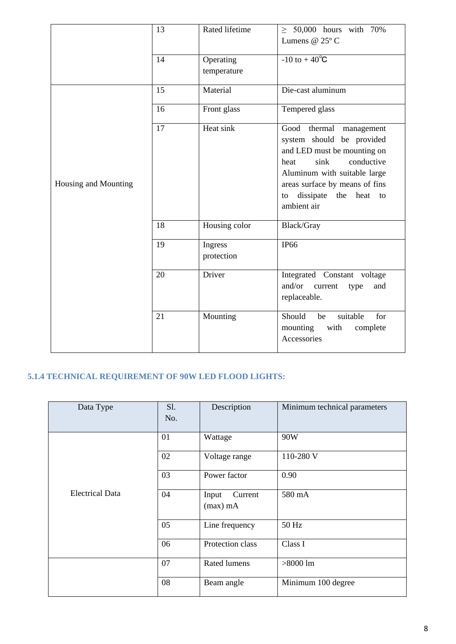|                      | 13 | Rated lifetime           | $\geq$ 50,000 hours with 70%<br>Lumens @ $25^{\circ}$ C                                                                                                                                                                              |
|----------------------|----|--------------------------|--------------------------------------------------------------------------------------------------------------------------------------------------------------------------------------------------------------------------------------|
|                      | 14 | Operating<br>temperature | $-10$ to $+40^{\circ}C$                                                                                                                                                                                                              |
|                      | 15 | Material                 | Die-cast aluminum                                                                                                                                                                                                                    |
|                      | 16 | Front glass              | Tempered glass                                                                                                                                                                                                                       |
| Housing and Mounting | 17 | Heat sink                | Good<br>thermal management<br>system should be provided<br>and LED must be mounting on<br>conductive<br>sink<br>heat<br>Aluminum with suitable large<br>areas surface by means of fins<br>dissipate the heat to<br>to<br>ambient air |
|                      | 18 | Housing color            | Black/Gray                                                                                                                                                                                                                           |
|                      | 19 | Ingress<br>protection    | <b>IP66</b>                                                                                                                                                                                                                          |
|                      | 20 | Driver                   | Integrated Constant voltage<br>and/or<br>current<br>type<br>and<br>replaceable.                                                                                                                                                      |
|                      | 21 | Mounting                 | Should<br>suitable<br>for<br>be<br>mounting<br>with<br>complete<br>Accessories                                                                                                                                                       |

# <span id="page-8-0"></span>**5.1.4 TECHNICAL REQUIREMENT OF 90W LED FLOOD LIGHTS:**

| Data Type              | S1.<br>No. | Description                    | Minimum technical parameters |
|------------------------|------------|--------------------------------|------------------------------|
|                        | 01         | Wattage                        | 90W                          |
|                        | 02         | Voltage range                  | 110-280 V                    |
|                        | 03         | Power factor                   | 0.90                         |
| <b>Electrical Data</b> | 04         | Current<br>Input<br>$(max)$ mA | 580 mA                       |
|                        | 05         | Line frequency                 | 50 Hz                        |
|                        | 06         | Protection class               | Class I                      |
|                        | 07         | Rated lumens                   | $>8000$ lm                   |
|                        | 08         | Beam angle                     | Minimum 100 degree           |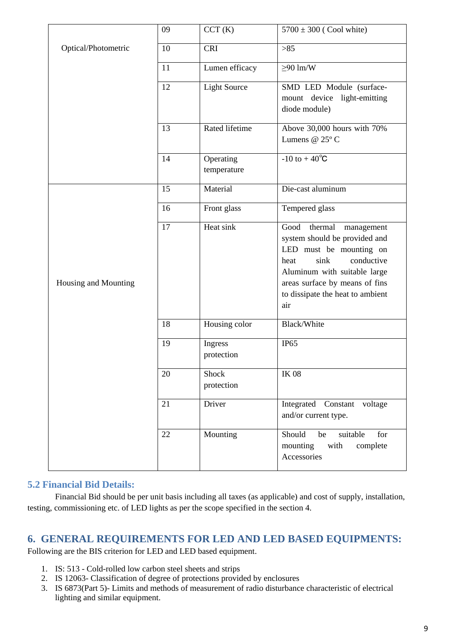|                      | 09 | CCT(K)                   | $5700 \pm 300$ (Cool white)                                                                                                                                                                                                       |
|----------------------|----|--------------------------|-----------------------------------------------------------------------------------------------------------------------------------------------------------------------------------------------------------------------------------|
| Optical/Photometric  | 10 | <b>CRI</b>               | $>85$                                                                                                                                                                                                                             |
|                      | 11 | Lumen efficacy           | $\geq 90$ lm/W                                                                                                                                                                                                                    |
|                      | 12 | <b>Light Source</b>      | SMD LED Module (surface-<br>mount device light-emitting<br>diode module)                                                                                                                                                          |
|                      | 13 | Rated lifetime           | Above 30,000 hours with 70%<br>Lumens @ 25°C                                                                                                                                                                                      |
|                      | 14 | Operating<br>temperature | $-10$ to $+40^{\circ}C$                                                                                                                                                                                                           |
|                      | 15 | Material                 | Die-cast aluminum                                                                                                                                                                                                                 |
|                      | 16 | Front glass              | Tempered glass                                                                                                                                                                                                                    |
| Housing and Mounting | 17 | Heat sink                | Good thermal<br>management<br>system should be provided and<br>LED must be mounting on<br>conductive<br>sink<br>heat<br>Aluminum with suitable large<br>areas surface by means of fins<br>to dissipate the heat to ambient<br>air |
|                      | 18 | Housing color            | Black/White                                                                                                                                                                                                                       |
|                      | 19 | Ingress<br>protection    | IP <sub>65</sub>                                                                                                                                                                                                                  |
|                      | 20 | Shock<br>protection      | <b>IK 08</b>                                                                                                                                                                                                                      |
|                      | 21 | Driver                   | Integrated Constant voltage<br>and/or current type.                                                                                                                                                                               |
|                      | 22 | Mounting                 | Should<br>be<br>suitable<br>for<br>mounting<br>with<br>complete<br>Accessories                                                                                                                                                    |

#### <span id="page-9-0"></span>**5.2 Financial Bid Details:**

Financial Bid should be per unit basis including all taxes (as applicable) and cost of supply, installation, testing, commissioning etc. of LED lights as per the scope specified in the section 4.

#### <span id="page-9-1"></span>**6. GENERAL REQUIREMENTS FOR LED AND LED BASED EQUIPMENTS:**

Following are the BIS criterion for LED and LED based equipment.

- 1. IS: 513 Cold-rolled low carbon steel sheets and strips
- 2. IS 12063- Classification of degree of protections provided by enclosures
- 3. IS 6873(Part 5)- Limits and methods of measurement of radio disturbance characteristic of electrical lighting and similar equipment.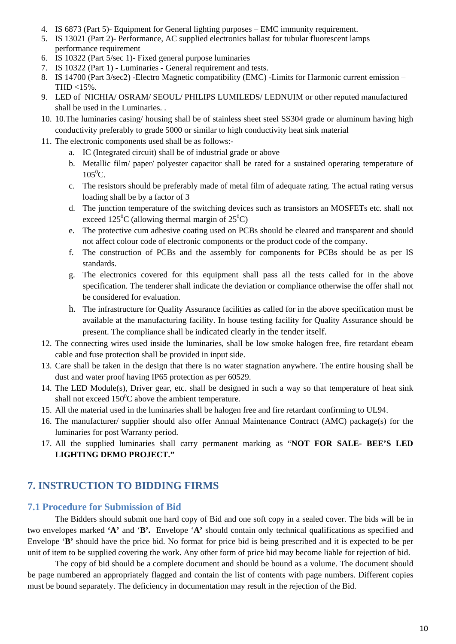- 4. IS 6873 (Part 5)- Equipment for General lighting purposes EMC immunity requirement.
- 5. IS 13021 (Part 2)- Performance, AC supplied electronics ballast for tubular fluorescent lamps performance requirement
- 6. IS 10322 (Part 5/sec 1)- Fixed general purpose luminaries
- 7. IS 10322 (Part 1) Luminaries General requirement and tests.
- 8. IS 14700 (Part 3/sec2) -Electro Magnetic compatibility (EMC) -Limits for Harmonic current emission THD <15%.
- 9. LED of NICHIA/ OSRAM/ SEOUL/ PHILIPS LUMILEDS/ LEDNUIM or other reputed manufactured shall be used in the Luminaries. .
- 10. 10.The luminaries casing/ housing shall be of stainless sheet steel SS304 grade or aluminum having high conductivity preferably to grade 5000 or similar to high conductivity heat sink material
- 11. The electronic components used shall be as follows:
	- a. IC (Integrated circuit) shall be of industrial grade or above
	- b. Metallic film/ paper/ polyester capacitor shall be rated for a sustained operating temperature of  $105^0C$ .
	- c. The resistors should be preferably made of metal film of adequate rating. The actual rating versus loading shall be by a factor of 3
	- d. The junction temperature of the switching devices such as transistors an MOSFETs etc. shall not exceed  $125^{\circ}$ C (allowing thermal margin of  $25^{\circ}$ C)
	- e. The protective cum adhesive coating used on PCBs should be cleared and transparent and should not affect colour code of electronic components or the product code of the company.
	- f. The construction of PCBs and the assembly for components for PCBs should be as per IS standards.
	- g. The electronics covered for this equipment shall pass all the tests called for in the above specification. The tenderer shall indicate the deviation or compliance otherwise the offer shall not be considered for evaluation.
	- h. The infrastructure for Quality Assurance facilities as called for in the above specification must be available at the manufacturing facility. In house testing facility for Quality Assurance should be present. The compliance shall be indicated clearly in the tender itself.
- 12. The connecting wires used inside the luminaries, shall be low smoke halogen free, fire retardant ebeam cable and fuse protection shall be provided in input side.
- 13. Care shall be taken in the design that there is no water stagnation anywhere. The entire housing shall be dust and water proof having IP65 protection as per 60529.
- 14. The LED Module(s), Driver gear, etc. shall be designed in such a way so that temperature of heat sink shall not exceed  $150^{\circ}$ C above the ambient temperature.
- 15. All the material used in the luminaries shall be halogen free and fire retardant confirming to UL94.
- 16. The manufacturer/ supplier should also offer Annual Maintenance Contract (AMC) package(s) for the luminaries for post Warranty period.
- 17. All the supplied luminaries shall carry permanent marking as "**NOT FOR SALE- BEE'S LED LIGHTING DEMO PROJECT."**

#### <span id="page-10-0"></span>**7. INSTRUCTION TO BIDDING FIRMS**

#### <span id="page-10-1"></span>**7.1 Procedure for Submission of Bid**

The Bidders should submit one hard copy of Bid and one soft copy in a sealed cover. The bids will be in two envelopes marked **'A'** and '**B'.** Envelope '**A'** should contain only technical qualifications as specified and Envelope '**B'** should have the price bid. No format for price bid is being prescribed and it is expected to be per unit of item to be supplied covering the work. Any other form of price bid may become liable for rejection of bid.

The copy of bid should be a complete document and should be bound as a volume. The document should be page numbered an appropriately flagged and contain the list of contents with page numbers. Different copies must be bound separately. The deficiency in documentation may result in the rejection of the Bid.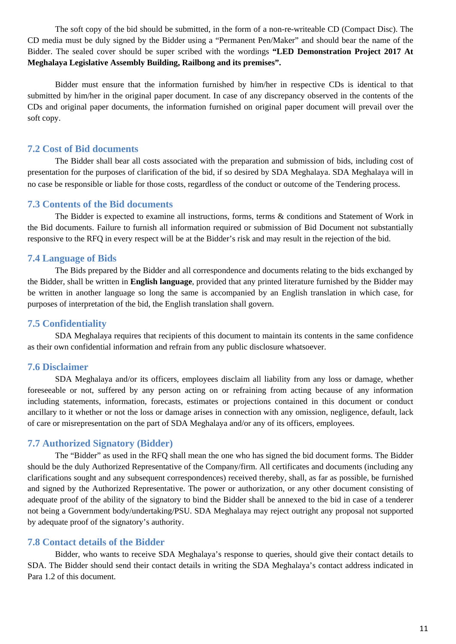The soft copy of the bid should be submitted, in the form of a non-re-writeable CD (Compact Disc). The CD media must be duly signed by the Bidder using a "Permanent Pen/Maker" and should bear the name of the Bidder. The sealed cover should be super scribed with the wordings **"LED Demonstration Project 2017 At Meghalaya Legislative Assembly Building, Railbong and its premises".**

Bidder must ensure that the information furnished by him/her in respective CDs is identical to that submitted by him/her in the original paper document. In case of any discrepancy observed in the contents of the CDs and original paper documents, the information furnished on original paper document will prevail over the soft copy.

#### <span id="page-11-0"></span>**7.2 Cost of Bid documents**

The Bidder shall bear all costs associated with the preparation and submission of bids, including cost of presentation for the purposes of clarification of the bid, if so desired by SDA Meghalaya. SDA Meghalaya will in no case be responsible or liable for those costs, regardless of the conduct or outcome of the Tendering process.

#### <span id="page-11-1"></span>**7.3 Contents of the Bid documents**

The Bidder is expected to examine all instructions, forms, terms & conditions and Statement of Work in the Bid documents. Failure to furnish all information required or submission of Bid Document not substantially responsive to the RFQ in every respect will be at the Bidder's risk and may result in the rejection of the bid.

#### <span id="page-11-2"></span>**7.4 Language of Bids**

The Bids prepared by the Bidder and all correspondence and documents relating to the bids exchanged by the Bidder, shall be written in **English language**, provided that any printed literature furnished by the Bidder may be written in another language so long the same is accompanied by an English translation in which case, for purposes of interpretation of the bid, the English translation shall govern.

#### <span id="page-11-3"></span>**7.5 Confidentiality**

SDA Meghalaya requires that recipients of this document to maintain its contents in the same confidence as their own confidential information and refrain from any public disclosure whatsoever.

#### <span id="page-11-4"></span>**7.6 Disclaimer**

SDA Meghalaya and/or its officers, employees disclaim all liability from any loss or damage, whether foreseeable or not, suffered by any person acting on or refraining from acting because of any information including statements, information, forecasts, estimates or projections contained in this document or conduct ancillary to it whether or not the loss or damage arises in connection with any omission, negligence, default, lack of care or misrepresentation on the part of SDA Meghalaya and/or any of its officers, employees.

#### <span id="page-11-5"></span>**7.7 Authorized Signatory (Bidder)**

The "Bidder" as used in the RFQ shall mean the one who has signed the bid document forms. The Bidder should be the duly Authorized Representative of the Company/firm. All certificates and documents (including any clarifications sought and any subsequent correspondences) received thereby, shall, as far as possible, be furnished and signed by the Authorized Representative. The power or authorization, or any other document consisting of adequate proof of the ability of the signatory to bind the Bidder shall be annexed to the bid in case of a tenderer not being a Government body/undertaking/PSU. SDA Meghalaya may reject outright any proposal not supported by adequate proof of the signatory's authority.

#### <span id="page-11-6"></span>**7.8 Contact details of the Bidder**

Bidder, who wants to receive SDA Meghalaya's response to queries, should give their contact details to SDA. The Bidder should send their contact details in writing the SDA Meghalaya's contact address indicated in Para 1.2 of this document.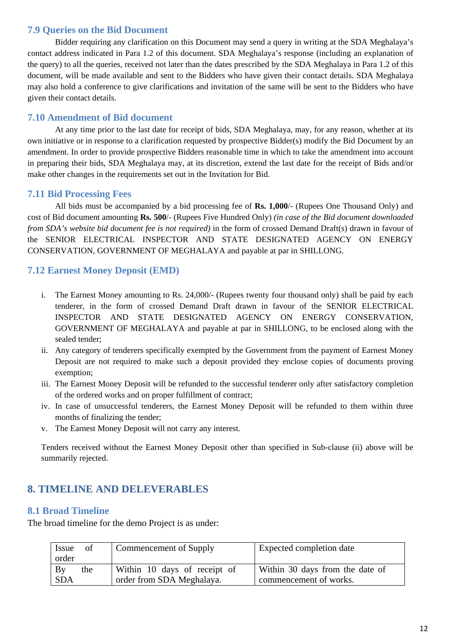#### <span id="page-12-0"></span>**7.9 Queries on the Bid Document**

Bidder requiring any clarification on this Document may send a query in writing at the SDA Meghalaya's contact address indicated in Para 1.2 of this document. SDA Meghalaya's response (including an explanation of the query) to all the queries, received not later than the dates prescribed by the SDA Meghalaya in Para 1.2 of this document, will be made available and sent to the Bidders who have given their contact details. SDA Meghalaya may also hold a conference to give clarifications and invitation of the same will be sent to the Bidders who have given their contact details.

#### <span id="page-12-1"></span>**7.10 Amendment of Bid document**

At any time prior to the last date for receipt of bids, SDA Meghalaya, may, for any reason, whether at its own initiative or in response to a clarification requested by prospective Bidder(s) modify the Bid Document by an amendment. In order to provide prospective Bidders reasonable time in which to take the amendment into account in preparing their bids, SDA Meghalaya may, at its discretion, extend the last date for the receipt of Bids and/or make other changes in the requirements set out in the Invitation for Bid.

#### <span id="page-12-2"></span>**7.11 Bid Processing Fees**

All bids must be accompanied by a bid processing fee of **Rs. 1,000**/- (Rupees One Thousand Only) and cost of Bid document amounting **Rs. 500**/- (Rupees Five Hundred Only) *(in case of the Bid document downloaded from SDA's website bid document fee is not required*) in the form of crossed Demand Draft(s) drawn in favour of the SENIOR ELECTRICAL INSPECTOR AND STATE DESIGNATED AGENCY ON ENERGY CONSERVATION, GOVERNMENT OF MEGHALAYA and payable at par in SHILLONG.

#### <span id="page-12-3"></span>**7.12 Earnest Money Deposit (EMD)**

- i. The Earnest Money amounting to Rs. 24,000/- (Rupees twenty four thousand only) shall be paid by each tenderer, in the form of crossed Demand Draft drawn in favour of the SENIOR ELECTRICAL INSPECTOR AND STATE DESIGNATED AGENCY ON ENERGY CONSERVATION, GOVERNMENT OF MEGHALAYA and payable at par in SHILLONG, to be enclosed along with the sealed tender;
- ii. Any category of tenderers specifically exempted by the Government from the payment of Earnest Money Deposit are not required to make such a deposit provided they enclose copies of documents proving exemption;
- iii. The Earnest Money Deposit will be refunded to the successful tenderer only after satisfactory completion of the ordered works and on proper fulfillment of contract;
- iv. In case of unsuccessful tenderers, the Earnest Money Deposit will be refunded to them within three months of finalizing the tender;
- v. The Earnest Money Deposit will not carry any interest.

Tenders received without the Earnest Money Deposit other than specified in Sub-clause (ii) above will be summarily rejected.

# <span id="page-12-4"></span>**8. TIMELINE AND DELEVERABLES**

#### <span id="page-12-5"></span>**8.1 Broad Timeline**

The broad timeline for the demo Project is as under:

| of<br>Issue<br>order    | Commencement of Supply                                    | Expected completion date                                  |
|-------------------------|-----------------------------------------------------------|-----------------------------------------------------------|
| By<br>the<br><b>SDA</b> | Within 10 days of receipt of<br>order from SDA Meghalaya. | Within 30 days from the date of<br>commencement of works. |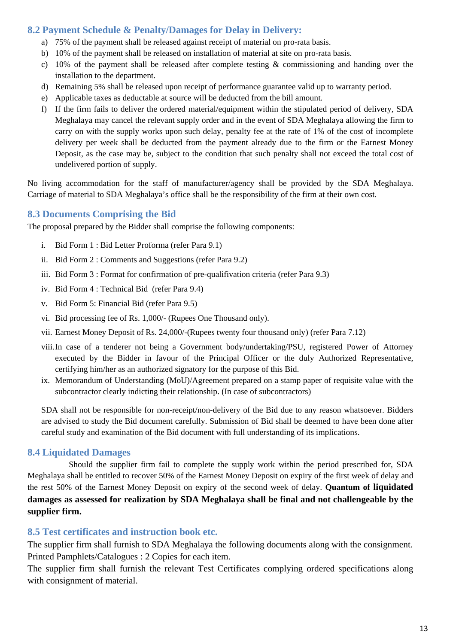### <span id="page-13-0"></span>**8.2 Payment Schedule & Penalty/Damages for Delay in Delivery:**

- a) 75% of the payment shall be released against receipt of material on pro-rata basis.
- b) 10% of the payment shall be released on installation of material at site on pro-rata basis.
- c) 10% of the payment shall be released after complete testing  $\&$  commissioning and handing over the installation to the department.
- d) Remaining 5% shall be released upon receipt of performance guarantee valid up to warranty period.
- e) Applicable taxes as deductable at source will be deducted from the bill amount.
- f) If the firm fails to deliver the ordered material/equipment within the stipulated period of delivery, SDA Meghalaya may cancel the relevant supply order and in the event of SDA Meghalaya allowing the firm to carry on with the supply works upon such delay, penalty fee at the rate of 1% of the cost of incomplete delivery per week shall be deducted from the payment already due to the firm or the Earnest Money Deposit, as the case may be, subject to the condition that such penalty shall not exceed the total cost of undelivered portion of supply.

No living accommodation for the staff of manufacturer/agency shall be provided by the SDA Meghalaya. Carriage of material to SDA Meghalaya's office shall be the responsibility of the firm at their own cost.

#### <span id="page-13-1"></span>**8.3 Documents Comprising the Bid**

The proposal prepared by the Bidder shall comprise the following components:

- i. Bid Form 1 : Bid Letter Proforma (refer Para 9.1)
- ii. Bid Form 2 : Comments and Suggestions (refer Para 9.2)
- iii. Bid Form 3 : Format for confirmation of pre-qualifivation criteria (refer Para 9.3)
- iv. Bid Form 4 : Technical Bid (refer Para 9.4)
- v. Bid Form 5: Financial Bid (refer Para 9.5)
- vi. Bid processing fee of Rs. 1,000/- (Rupees One Thousand only).
- vii. Earnest Money Deposit of Rs. 24,000/-(Rupees twenty four thousand only) (refer Para 7.12)
- viii.In case of a tenderer not being a Government body/undertaking/PSU, registered Power of Attorney executed by the Bidder in favour of the Principal Officer or the duly Authorized Representative, certifying him/her as an authorized signatory for the purpose of this Bid.
- ix. Memorandum of Understanding (MoU)/Agreement prepared on a stamp paper of requisite value with the subcontractor clearly indicting their relationship. (In case of subcontractors)

SDA shall not be responsible for non-receipt/non-delivery of the Bid due to any reason whatsoever. Bidders are advised to study the Bid document carefully. Submission of Bid shall be deemed to have been done after careful study and examination of the Bid document with full understanding of its implications.

#### <span id="page-13-2"></span>**8.4 Liquidated Damages**

Should the supplier firm fail to complete the supply work within the period prescribed for, SDA Meghalaya shall be entitled to recover 50% of the Earnest Money Deposit on expiry of the first week of delay and the rest 50% of the Earnest Money Deposit on expiry of the second week of delay. **Quantum of liquidated damages as assessed for realization by SDA Meghalaya shall be final and not challengeable by the supplier firm.**

#### <span id="page-13-3"></span>**8.5 Test certificates and instruction book etc.**

The supplier firm shall furnish to SDA Meghalaya the following documents along with the consignment. Printed Pamphlets/Catalogues : 2 Copies for each item.

The supplier firm shall furnish the relevant Test Certificates complying ordered specifications along with consignment of material.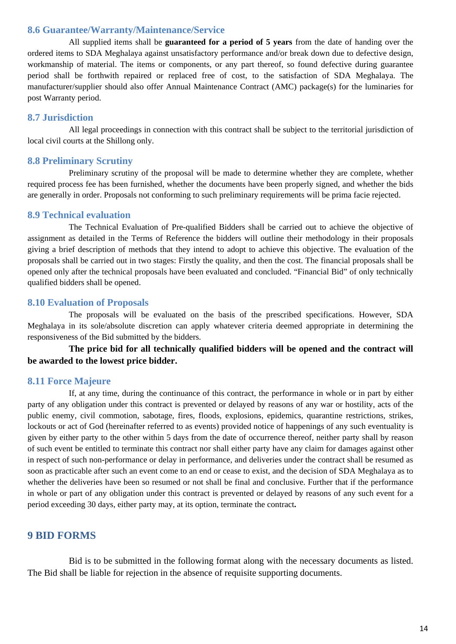#### <span id="page-14-0"></span>**8.6 Guarantee/Warranty/Maintenance/Service**

All supplied items shall be **guaranteed for a period of 5 years** from the date of handing over the ordered items to SDA Meghalaya against unsatisfactory performance and/or break down due to defective design, workmanship of material. The items or components, or any part thereof, so found defective during guarantee period shall be forthwith repaired or replaced free of cost, to the satisfaction of SDA Meghalaya. The manufacturer/supplier should also offer Annual Maintenance Contract (AMC) package(s) for the luminaries for post Warranty period.

#### <span id="page-14-1"></span>**8.7 Jurisdiction**

All legal proceedings in connection with this contract shall be subject to the territorial jurisdiction of local civil courts at the Shillong only.

#### <span id="page-14-2"></span>**8.8 Preliminary Scrutiny**

Preliminary scrutiny of the proposal will be made to determine whether they are complete, whether required process fee has been furnished, whether the documents have been properly signed, and whether the bids are generally in order. Proposals not conforming to such preliminary requirements will be prima facie rejected.

#### <span id="page-14-3"></span>**8.9 Technical evaluation**

The Technical Evaluation of Pre-qualified Bidders shall be carried out to achieve the objective of assignment as detailed in the Terms of Reference the bidders will outline their methodology in their proposals giving a brief description of methods that they intend to adopt to achieve this objective. The evaluation of the proposals shall be carried out in two stages: Firstly the quality, and then the cost. The financial proposals shall be opened only after the technical proposals have been evaluated and concluded. "Financial Bid" of only technically qualified bidders shall be opened.

#### <span id="page-14-4"></span>**8.10 Evaluation of Proposals**

The proposals will be evaluated on the basis of the prescribed specifications. However, SDA Meghalaya in its sole/absolute discretion can apply whatever criteria deemed appropriate in determining the responsiveness of the Bid submitted by the bidders.

**The price bid for all technically qualified bidders will be opened and the contract will be awarded to the lowest price bidder.**

#### <span id="page-14-5"></span>**8.11 Force Majeure**

If, at any time, during the continuance of this contract, the performance in whole or in part by either party of any obligation under this contract is prevented or delayed by reasons of any war or hostility, acts of the public enemy, civil commotion, sabotage, fires, floods, explosions, epidemics, quarantine restrictions, strikes, lockouts or act of God (hereinafter referred to as events) provided notice of happenings of any such eventuality is given by either party to the other within 5 days from the date of occurrence thereof, neither party shall by reason of such event be entitled to terminate this contract nor shall either party have any claim for damages against other in respect of such non-performance or delay in performance, and deliveries under the contract shall be resumed as soon as practicable after such an event come to an end or cease to exist, and the decision of SDA Meghalaya as to whether the deliveries have been so resumed or not shall be final and conclusive. Further that if the performance in whole or part of any obligation under this contract is prevented or delayed by reasons of any such event for a period exceeding 30 days, either party may, at its option, terminate the contract**.**

#### <span id="page-14-6"></span>**9 BID FORMS**

Bid is to be submitted in the following format along with the necessary documents as listed. The Bid shall be liable for rejection in the absence of requisite supporting documents.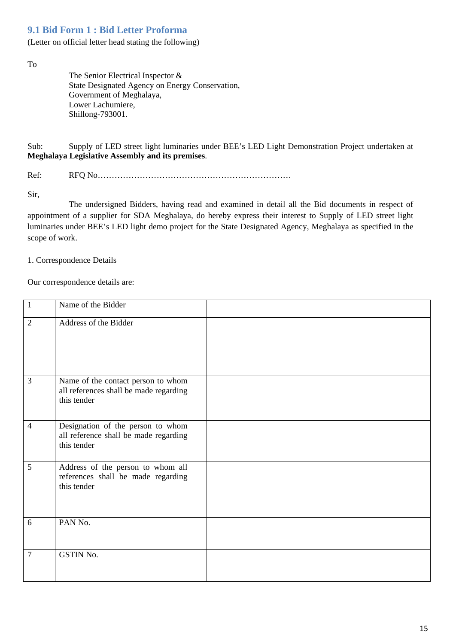# <span id="page-15-0"></span>**9.1 Bid Form 1 : Bid Letter Proforma**

(Letter on official letter head stating the following)

To

The Senior Electrical Inspector & State Designated Agency on Energy Conservation, Government of Meghalaya, Lower Lachumiere, Shillong-793001.

Sub: Supply of LED street light luminaries under BEE's LED Light Demonstration Project undertaken at **Meghalaya Legislative Assembly and its premises**.

Ref: RFQ No……………………………………………………………

Sir,

The undersigned Bidders, having read and examined in detail all the Bid documents in respect of appointment of a supplier for SDA Meghalaya, do hereby express their interest to Supply of LED street light luminaries under BEE's LED light demo project for the State Designated Agency, Meghalaya as specified in the scope of work.

1. Correspondence Details

Our correspondence details are:

| $\mathbf{1}$   | Name of the Bidder                                                                          |  |
|----------------|---------------------------------------------------------------------------------------------|--|
| $\overline{2}$ | Address of the Bidder                                                                       |  |
| 3              | Name of the contact person to whom<br>all references shall be made regarding<br>this tender |  |
| $\overline{4}$ | Designation of the person to whom<br>all reference shall be made regarding<br>this tender   |  |
| 5              | Address of the person to whom all<br>references shall be made regarding<br>this tender      |  |
| 6              | PAN No.                                                                                     |  |
| $\tau$         | GSTIN No.                                                                                   |  |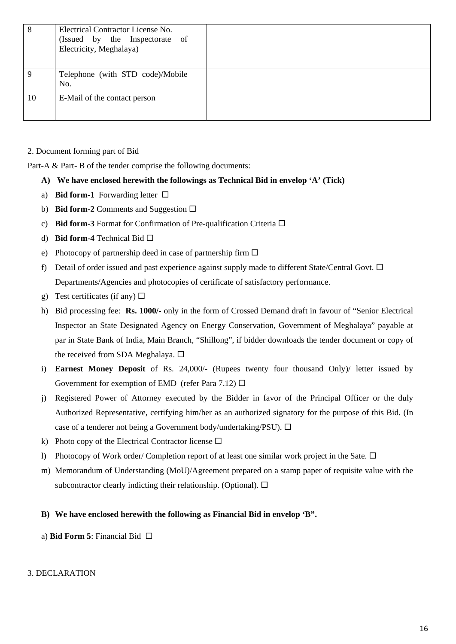| 8  | Electrical Contractor License No.<br>(Issued by the Inspectorate of<br>Electricity, Meghalaya) |  |
|----|------------------------------------------------------------------------------------------------|--|
| 9  | Telephone (with STD code)/Mobile<br>No.                                                        |  |
| 10 | E-Mail of the contact person                                                                   |  |

2. Document forming part of Bid

Part-A & Part-B of the tender comprise the following documents:

- **A) We have enclosed herewith the followings as Technical Bid in envelop 'A' (Tick)**
- a) **Bid form-1** Forwarding letter  $\Box$
- b) **Bid form-2** Comments and Suggestion  $\Box$
- c) **Bid form-3** Format for Confirmation of Pre-qualification Criteria
- d) **Bid form-4** Technical Bid
- e) Photocopy of partnership deed in case of partnership firm  $\Box$
- f) Detail of order issued and past experience against supply made to different State/Central Govt.  $\Box$ Departments/Agencies and photocopies of certificate of satisfactory performance.
- g) Test certificates (if any)  $\Box$
- h) Bid processing fee: **Rs. 1000/-** only in the form of Crossed Demand draft in favour of "Senior Electrical Inspector an State Designated Agency on Energy Conservation, Government of Meghalaya" payable at par in State Bank of India, Main Branch, "Shillong", if bidder downloads the tender document or copy of the received from SDA Meghalaya.  $\square$
- i) **Earnest Money Deposit** of Rs. 24,000/- (Rupees twenty four thousand Only)/ letter issued by Government for exemption of EMD (refer Para 7.12)  $\Box$
- j) Registered Power of Attorney executed by the Bidder in favor of the Principal Officer or the duly Authorized Representative, certifying him/her as an authorized signatory for the purpose of this Bid. (In case of a tenderer not being a Government body/undertaking/PSU).  $\Box$
- k) Photo copy of the Electrical Contractor license  $\square$
- l) Photocopy of Work order/ Completion report of at least one similar work project in the Sate.  $\Box$
- m) Memorandum of Understanding (MoU)/Agreement prepared on a stamp paper of requisite value with the subcontractor clearly indicting their relationship. (Optional).  $\Box$

#### **B) We have enclosed herewith the following as Financial Bid in envelop 'B".**

a) **Bid Form 5**: Financial Bid

#### 3. DECLARATION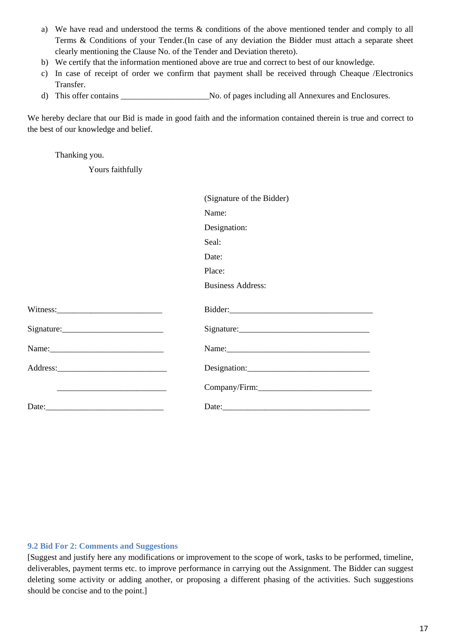- a) We have read and understood the terms & conditions of the above mentioned tender and comply to all Terms & Conditions of your Tender.(In case of any deviation the Bidder must attach a separate sheet clearly mentioning the Clause No. of the Tender and Deviation thereto).
- b) We certify that the information mentioned above are true and correct to best of our knowledge.
- c) In case of receipt of order we confirm that payment shall be received through Cheaque /Electronics Transfer.
- d) This offer contains \_\_\_\_\_\_\_\_\_\_\_\_\_\_\_\_\_\_\_\_\_No. of pages including all Annexures and Enclosures.

We hereby declare that our Bid is made in good faith and the information contained therein is true and correct to the best of our knowledge and belief.

Thanking you.

Yours faithfully

|                                                                                                                       | (Signature of the Bidder) |
|-----------------------------------------------------------------------------------------------------------------------|---------------------------|
|                                                                                                                       | Name:                     |
|                                                                                                                       | Designation:              |
|                                                                                                                       | Seal:                     |
|                                                                                                                       | Date:                     |
|                                                                                                                       | Place:                    |
|                                                                                                                       | <b>Business Address:</b>  |
|                                                                                                                       |                           |
|                                                                                                                       |                           |
| $Sigma$ : $\qquad \qquad$                                                                                             | $Sigma$ : $\qquad \qquad$ |
|                                                                                                                       |                           |
|                                                                                                                       |                           |
| <u> Listen de la contrada de la contrada de la contrada de la contrada de la contrada de la contrada de la contra</u> |                           |
| Date: <u>Date:</u>                                                                                                    |                           |

#### <span id="page-17-0"></span>**9.2 Bid For 2: Comments and Suggestions**

[Suggest and justify here any modifications or improvement to the scope of work, tasks to be performed, timeline, deliverables, payment terms etc. to improve performance in carrying out the Assignment. The Bidder can suggest deleting some activity or adding another, or proposing a different phasing of the activities. Such suggestions should be concise and to the point.]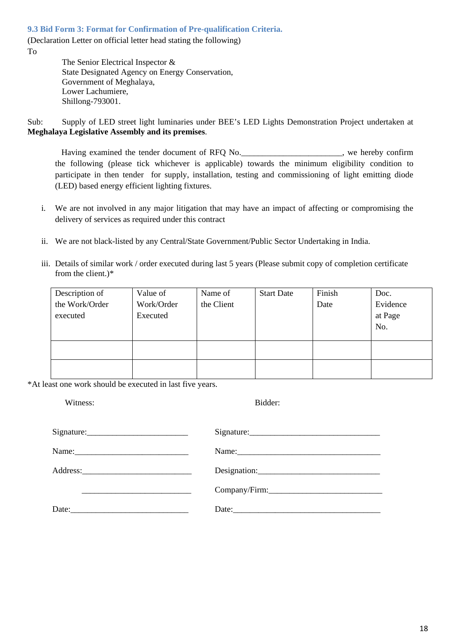<span id="page-18-0"></span>**9.3 Bid Form 3: Format for Confirmation of Pre-qualification Criteria.**

(Declaration Letter on official letter head stating the following) To

> The Senior Electrical Inspector & State Designated Agency on Energy Conservation, Government of Meghalaya, Lower Lachumiere, Shillong-793001.

Sub: Supply of LED street light luminaries under BEE's LED Lights Demonstration Project undertaken at **Meghalaya Legislative Assembly and its premises**.

Having examined the tender document of RFQ No. the following (please tick whichever is applicable) towards the minimum eligibility condition to participate in then tender for supply, installation, testing and commissioning of light emitting diode (LED) based energy efficient lighting fixtures.

- i. We are not involved in any major litigation that may have an impact of affecting or compromising the delivery of services as required under this contract
- ii. We are not black-listed by any Central/State Government/Public Sector Undertaking in India.
- iii. Details of similar work / order executed during last 5 years (Please submit copy of completion certificate from the client.)\*

| Description of<br>the Work/Order<br>executed | Value of<br>Work/Order<br>Executed | Name of<br>the Client | <b>Start Date</b> | Finish<br>Date | Doc.<br>Evidence<br>at Page<br>No. |
|----------------------------------------------|------------------------------------|-----------------------|-------------------|----------------|------------------------------------|
|                                              |                                    |                       |                   |                |                                    |

\*At least one work should be executed in last five years.

| Witness: | Bidder:    |  |  |
|----------|------------|--|--|
|          | Signature: |  |  |
|          |            |  |  |
|          |            |  |  |
|          |            |  |  |
| Date:    |            |  |  |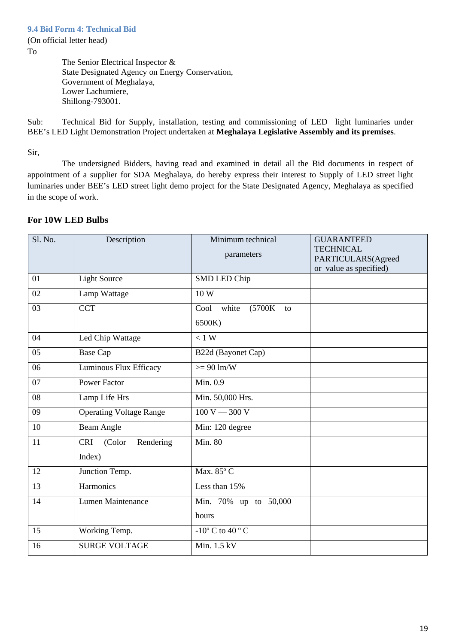<span id="page-19-0"></span>(On official letter head)

To

The Senior Electrical Inspector & State Designated Agency on Energy Conservation, Government of Meghalaya, Lower Lachumiere, Shillong-793001.

Sub: Technical Bid for Supply, installation, testing and commissioning of LED light luminaries under BEE's LED Light Demonstration Project undertaken at **Meghalaya Legislative Assembly and its premises**.

Sir,

The undersigned Bidders, having read and examined in detail all the Bid documents in respect of appointment of a supplier for SDA Meghalaya, do hereby express their interest to Supply of LED street light luminaries under BEE's LED street light demo project for the State Designated Agency, Meghalaya as specified in the scope of work.

| Sl. No. | Description                                 | Minimum technical<br>parameters         | <b>GUARANTEED</b><br><b>TECHNICAL</b><br>PARTICULARS(Agreed<br>or value as specified) |
|---------|---------------------------------------------|-----------------------------------------|---------------------------------------------------------------------------------------|
| 01      | <b>Light Source</b>                         | SMD LED Chip                            |                                                                                       |
| 02      | Lamp Wattage                                | 10W                                     |                                                                                       |
| 03      | <b>CCT</b>                                  | $(5700K)$ to<br>Cool<br>white<br>6500K) |                                                                                       |
| 04      | Led Chip Wattage                            | $< 1$ W                                 |                                                                                       |
| 05      | <b>Base Cap</b>                             | B22d (Bayonet Cap)                      |                                                                                       |
| 06      | Luminous Flux Efficacy                      | $>= 90 \text{ lm/W}$                    |                                                                                       |
| 07      | <b>Power Factor</b>                         | Min. 0.9                                |                                                                                       |
| 08      | Lamp Life Hrs                               | Min. 50,000 Hrs.                        |                                                                                       |
| 09      | <b>Operating Voltage Range</b>              | $100 V - 300 V$                         |                                                                                       |
| 10      | Beam Angle                                  | Min: 120 degree                         |                                                                                       |
| 11      | <b>CRI</b><br>(Color<br>Rendering<br>Index) | Min. 80                                 |                                                                                       |
| 12      | Junction Temp.                              | Max. 85°C                               |                                                                                       |
| 13      | Harmonics                                   | Less than 15%                           |                                                                                       |
| 14      | Lumen Maintenance                           | Min. 70% up to 50,000<br>hours          |                                                                                       |
| 15      | Working Temp.                               | $-10^{\circ}$ C to $40^{\circ}$ C       |                                                                                       |
| 16      | <b>SURGE VOLTAGE</b>                        | Min. 1.5 kV                             |                                                                                       |

#### **For 10W LED Bulbs**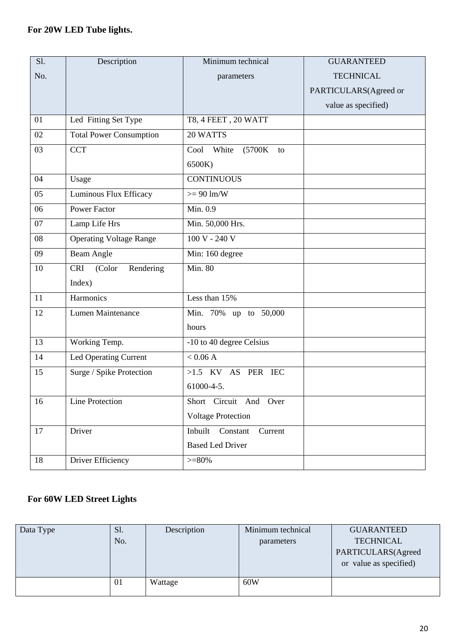# **For 20W LED Tube lights.**

| S1. | Description                       | Minimum technical              | <b>GUARANTEED</b>     |
|-----|-----------------------------------|--------------------------------|-----------------------|
| No. |                                   | parameters                     | <b>TECHNICAL</b>      |
|     |                                   |                                | PARTICULARS(Agreed or |
|     |                                   |                                | value as specified)   |
| 01  | Led Fitting Set Type              | T8, 4 FEET, 20 WATT            |                       |
| 02  | <b>Total Power Consumption</b>    | 20 WATTS                       |                       |
| 03  | <b>CCT</b>                        | Cool<br>White<br>(5700K)<br>to |                       |
|     |                                   | 6500K)                         |                       |
| 04  | Usage                             | <b>CONTINUOUS</b>              |                       |
| 05  | Luminous Flux Efficacy            | $>= 90 \text{ lm/W}$           |                       |
| 06  | <b>Power Factor</b>               | Min. 0.9                       |                       |
| 07  | Lamp Life Hrs                     | Min. 50,000 Hrs.               |                       |
| 08  | <b>Operating Voltage Range</b>    | $100 V - 240 V$                |                       |
| 09  | <b>Beam Angle</b>                 | Min: 160 degree                |                       |
| 10  | <b>CRI</b><br>(Color<br>Rendering | <b>Min. 80</b>                 |                       |
|     | Index)                            |                                |                       |
| 11  | Harmonics                         | Less than 15%                  |                       |
| 12  | Lumen Maintenance                 | Min. 70% up to 50,000          |                       |
|     |                                   | hours                          |                       |
| 13  | Working Temp.                     | -10 to 40 degree Celsius       |                       |
| 14  | Led Operating Current             | $< 0.06$ A                     |                       |
| 15  | Surge / Spike Protection          | >1.5 KV AS PER IEC             |                       |
|     |                                   | 61000-4-5.                     |                       |
| 16  | Line Protection                   | Short Circuit And Over         |                       |
|     |                                   | <b>Voltage Protection</b>      |                       |
| 17  | Driver                            | Inbuilt Constant<br>Current    |                       |
|     |                                   | <b>Based Led Driver</b>        |                       |
| 18  | Driver Efficiency                 | $>= 80\%$                      |                       |

# **For 60W LED Street Lights**

| Data Type | S1.<br>No. | Description | Minimum technical<br>parameters | <b>GUARANTEED</b><br><b>TECHNICAL</b><br>PARTICULARS(Agreed<br>or value as specified) |
|-----------|------------|-------------|---------------------------------|---------------------------------------------------------------------------------------|
|           | 01         | Wattage     | 60W                             |                                                                                       |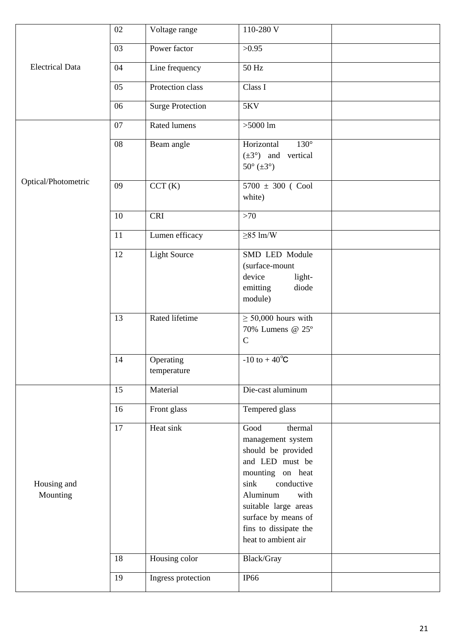|                         | 02 | Voltage range            | 110-280 V                                                                                                                                                                                                                                  |  |
|-------------------------|----|--------------------------|--------------------------------------------------------------------------------------------------------------------------------------------------------------------------------------------------------------------------------------------|--|
|                         | 03 | Power factor             | >0.95                                                                                                                                                                                                                                      |  |
| <b>Electrical Data</b>  | 04 | Line frequency           | 50 Hz                                                                                                                                                                                                                                      |  |
|                         | 05 | Protection class         | Class I                                                                                                                                                                                                                                    |  |
|                         | 06 | <b>Surge Protection</b>  | <b>5KV</b>                                                                                                                                                                                                                                 |  |
|                         | 07 | <b>Rated lumens</b>      | $>5000$ lm                                                                                                                                                                                                                                 |  |
|                         | 08 | Beam angle               | Horizontal<br>$130^\circ$<br>$(\pm 3^{\circ})$ and vertical<br>$50^{\circ}$ ( $\pm 3^{\circ}$ )                                                                                                                                            |  |
| Optical/Photometric     | 09 | CCT(K)                   | $5700 \pm 300$ (Cool<br>white)                                                                                                                                                                                                             |  |
|                         | 10 | <b>CRI</b>               | >70                                                                                                                                                                                                                                        |  |
|                         | 11 | Lumen efficacy           | $\geq$ 85 lm/W                                                                                                                                                                                                                             |  |
|                         | 12 | <b>Light Source</b>      | SMD LED Module<br>(surface-mount<br>device<br>light-<br>emitting<br>diode<br>module)                                                                                                                                                       |  |
|                         | 13 | Rated lifetime           | $\geq$ 50,000 hours with<br>70% Lumens @ 25°<br>$\mathbf C$                                                                                                                                                                                |  |
|                         | 14 | Operating<br>temperature | $-10$ to $+40^{\circ}C$                                                                                                                                                                                                                    |  |
|                         | 15 | Material                 | Die-cast aluminum                                                                                                                                                                                                                          |  |
|                         | 16 | Front glass              | Tempered glass                                                                                                                                                                                                                             |  |
| Housing and<br>Mounting | 17 | Heat sink                | thermal<br>Good<br>management system<br>should be provided<br>and LED must be<br>mounting on heat<br>sink<br>conductive<br>Aluminum<br>with<br>suitable large areas<br>surface by means of<br>fins to dissipate the<br>heat to ambient air |  |
|                         | 18 | Housing color            | Black/Gray                                                                                                                                                                                                                                 |  |
|                         | 19 | Ingress protection       | <b>IP66</b>                                                                                                                                                                                                                                |  |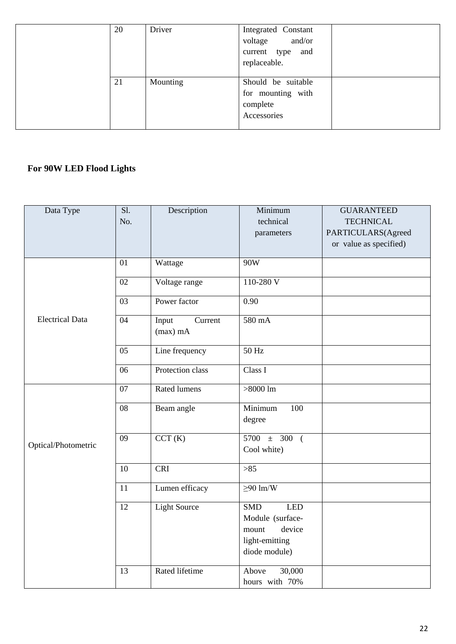| Driver<br>20 |          | Integrated Constant<br>voltage and/or<br>current type and<br>replaceable. |  |  |
|--------------|----------|---------------------------------------------------------------------------|--|--|
| 21           | Mounting | Should be suitable<br>for mounting with<br>complete<br>Accessories        |  |  |

# **For 90W LED Flood Lights**

| Data Type              | S1.<br>No.      | Description                    | Minimum<br>technical<br>parameters                                                                 | <b>GUARANTEED</b><br><b>TECHNICAL</b><br>PARTICULARS(Agreed<br>or value as specified) |
|------------------------|-----------------|--------------------------------|----------------------------------------------------------------------------------------------------|---------------------------------------------------------------------------------------|
|                        | 01              | Wattage                        | 90W                                                                                                |                                                                                       |
|                        | 02              | Voltage range                  | $110-280V$                                                                                         |                                                                                       |
|                        | 03              | Power factor                   | 0.90                                                                                               |                                                                                       |
| <b>Electrical Data</b> | 04              | Input<br>Current<br>$(max)$ mA | 580 mA                                                                                             |                                                                                       |
|                        | $\overline{05}$ | Line frequency                 | $50$ Hz                                                                                            |                                                                                       |
|                        | 06              | Protection class               | Class I                                                                                            |                                                                                       |
|                        | 07              | Rated lumens                   | $>8000$ lm                                                                                         |                                                                                       |
|                        | 08              | Beam angle                     | Minimum<br>100<br>degree                                                                           |                                                                                       |
| Optical/Photometric    | $\overline{09}$ | CCT(K)                         | $5700 \pm 300$ (<br>Cool white)                                                                    |                                                                                       |
|                        | 10              | <b>CRI</b>                     | $>85$                                                                                              |                                                                                       |
|                        | 11              | Lumen efficacy                 | $\geq 90$ lm/W                                                                                     |                                                                                       |
|                        | 12              | <b>Light Source</b>            | <b>SMD</b><br><b>LED</b><br>Module (surface-<br>device<br>mount<br>light-emitting<br>diode module) |                                                                                       |
|                        | 13              | Rated lifetime                 | 30,000<br>Above<br>hours with 70%                                                                  |                                                                                       |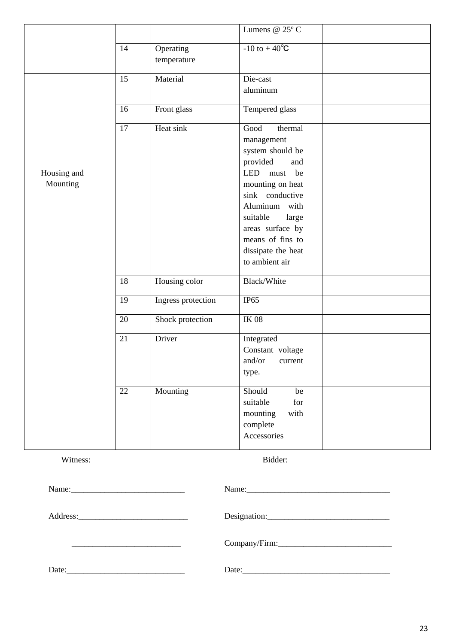|                         |    |                          | Lumens @ $25^{\circ}$ C                                                                                                                                                                                                                          |  |
|-------------------------|----|--------------------------|--------------------------------------------------------------------------------------------------------------------------------------------------------------------------------------------------------------------------------------------------|--|
|                         | 14 | Operating<br>temperature | $-10$ to $+40^{\circ}C$                                                                                                                                                                                                                          |  |
|                         | 15 | Material                 | Die-cast<br>aluminum                                                                                                                                                                                                                             |  |
|                         | 16 | Front glass              | Tempered glass                                                                                                                                                                                                                                   |  |
| Housing and<br>Mounting | 17 | Heat sink                | thermal<br>Good<br>management<br>system should be<br>provided<br>and<br>LED must be<br>mounting on heat<br>sink conductive<br>Aluminum with<br>suitable<br>large<br>areas surface by<br>means of fins to<br>dissipate the heat<br>to ambient air |  |
|                         | 18 | Housing color            | Black/White                                                                                                                                                                                                                                      |  |
|                         | 19 | Ingress protection       | IP65                                                                                                                                                                                                                                             |  |
|                         | 20 | Shock protection         | <b>IK 08</b>                                                                                                                                                                                                                                     |  |
|                         | 21 | Driver                   | Integrated<br>Constant voltage<br>and/or<br>current<br>type.                                                                                                                                                                                     |  |
|                         | 22 | Mounting                 | Should<br>be<br>suitable<br>for<br>mounting<br>with<br>complete<br>Accessories                                                                                                                                                                   |  |

Witness: Bidder:

|       | Name: |
|-------|-------|
|       |       |
|       |       |
| Date: | Date: |